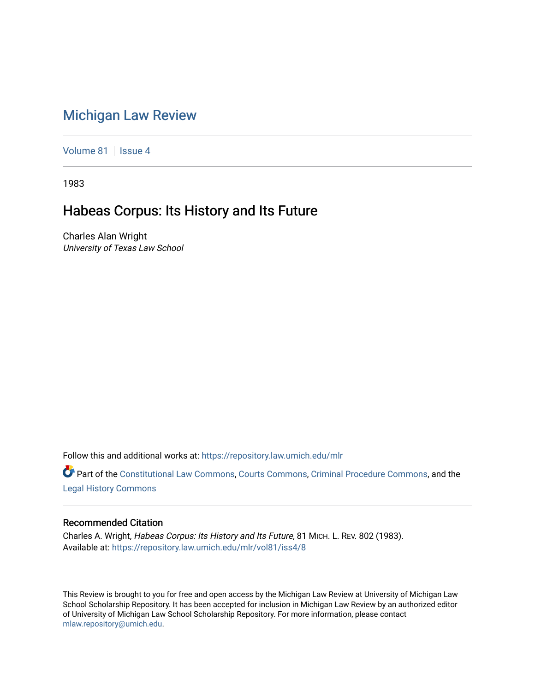# [Michigan Law Review](https://repository.law.umich.edu/mlr)

[Volume 81](https://repository.law.umich.edu/mlr/vol81) | [Issue 4](https://repository.law.umich.edu/mlr/vol81/iss4)

1983

## Habeas Corpus: Its History and Its Future

Charles Alan Wright University of Texas Law School

Follow this and additional works at: [https://repository.law.umich.edu/mlr](https://repository.law.umich.edu/mlr?utm_source=repository.law.umich.edu%2Fmlr%2Fvol81%2Fiss4%2F8&utm_medium=PDF&utm_campaign=PDFCoverPages) 

Part of the [Constitutional Law Commons,](http://network.bepress.com/hgg/discipline/589?utm_source=repository.law.umich.edu%2Fmlr%2Fvol81%2Fiss4%2F8&utm_medium=PDF&utm_campaign=PDFCoverPages) [Courts Commons,](http://network.bepress.com/hgg/discipline/839?utm_source=repository.law.umich.edu%2Fmlr%2Fvol81%2Fiss4%2F8&utm_medium=PDF&utm_campaign=PDFCoverPages) [Criminal Procedure Commons,](http://network.bepress.com/hgg/discipline/1073?utm_source=repository.law.umich.edu%2Fmlr%2Fvol81%2Fiss4%2F8&utm_medium=PDF&utm_campaign=PDFCoverPages) and the [Legal History Commons](http://network.bepress.com/hgg/discipline/904?utm_source=repository.law.umich.edu%2Fmlr%2Fvol81%2Fiss4%2F8&utm_medium=PDF&utm_campaign=PDFCoverPages) 

### Recommended Citation

Charles A. Wright, Habeas Corpus: Its History and Its Future, 81 MICH. L. REV. 802 (1983). Available at: [https://repository.law.umich.edu/mlr/vol81/iss4/8](https://repository.law.umich.edu/mlr/vol81/iss4/8?utm_source=repository.law.umich.edu%2Fmlr%2Fvol81%2Fiss4%2F8&utm_medium=PDF&utm_campaign=PDFCoverPages)

This Review is brought to you for free and open access by the Michigan Law Review at University of Michigan Law School Scholarship Repository. It has been accepted for inclusion in Michigan Law Review by an authorized editor of University of Michigan Law School Scholarship Repository. For more information, please contact [mlaw.repository@umich.edu.](mailto:mlaw.repository@umich.edu)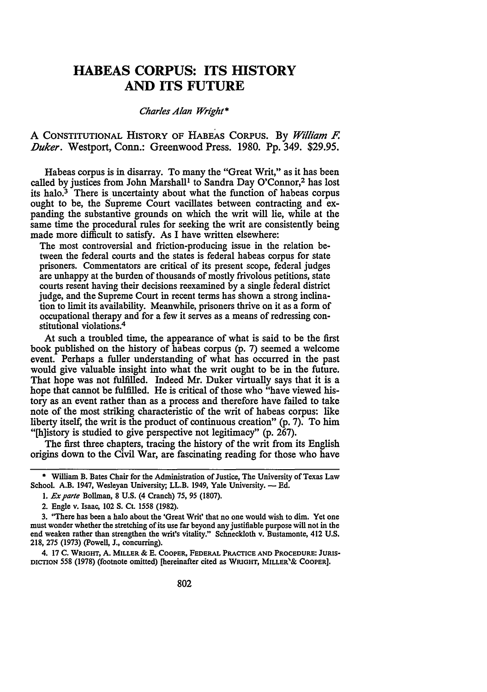### **HABEAS CORPUS: ITS HISTORY AND ITS FUTURE**

#### *Charles Alan Wright\**

A CONSTITUTIONAL HISTORY OF HABEAS CORPUS. By *William F. Duker.* Westport, Conn.: Greenwood Press. 1980. Pp. 349. \$29.95.

Habeas corpus is in disarray. To many the "Great Writ," as it has been called by justices from John Marshall<sup>1</sup> to Sandra Day O'Connor,<sup>2</sup> has lost its halo.<sup>3</sup> There is uncertainty about what the function of habeas corpus ought to be, the Supreme Court vacillates between contracting and expanding the substantive grounds on which the writ will lie, while at the same time the procedural rules for seeking the writ are consistently being made more difficult to satisfy. As I have written elsewhere:

The most controversial and friction-producing issue in the relation between the federal courts and the states is federal habeas corpus for state prisoners. Commentators are critical of its present scope, federal judges are unhappy at the burden of thousands of mostly frivolous petitions, state courts resent having their decisions reexamined by a single federal district judge, and the Supreme Court in recent terms has shown a strong inclination to limit its availability. Meanwhile, prisoners thrive on it as a form of occupational therapy and for a few it serves as a means of redressing constitutional violations.<sup>4</sup>

At such a troubled time, the appearance of what is said to be the first book published on the history of habeas corpus (p. 7) seemed a welcome event. Perhaps a fuller understanding of what has occurred in the past would give valuable insight into what the writ ought to be in the future. That hope was not fulfilled. Indeed Mr. Duker virtually says that it is a hope that cannot be fulfilled. He is critical of those who "have viewed history as an event rather than as a process and therefore have failed to take note of the most striking characteristic of the writ of habeas corpus: like liberty itself, the writ is the product of continuous creation" (p. 7). To him "[h]istory is studied to give perspective not legitimacy" (p. 267).

The first three chapters, tracing the history of the writ from its English origins down to the Civil War, are fascinating reading for those who have

4. 17 C. WRIGHT, A. MILLER & E. COOPER, FEDERAL PRACTICE AND PROCEDURE: JURIS· DICTION 558 (1978) (footnote omitted) [hereinafter cited as WRIGHT, MILLER'& COOPER].

<sup>\*</sup> William B. Bates Chair for the Administration of Justice, The University of Texas Law School. A.B. 1947, Wesleyan University; LL.B. 1949, Yale University. -- Ed.

l. *Ex parte* Bollman, 8 U.S. (4 Cranch) 75, 95 (1807).

<sup>2.</sup> Engle v. Isaac, 102 S. Ct. 15S8 (1982).

<sup>3. &</sup>quot;There has been a halo about the 'Great Writ' that no one would wish to dim. Yet one must wonder whether the stretching of its use far beyond any justifiable purpose will not in the end weaken rather than strengthen the writ's vitality." Schneckloth v. Bustamante, 412 U.S. 218, 275 (1973) (Powell, J., concurring).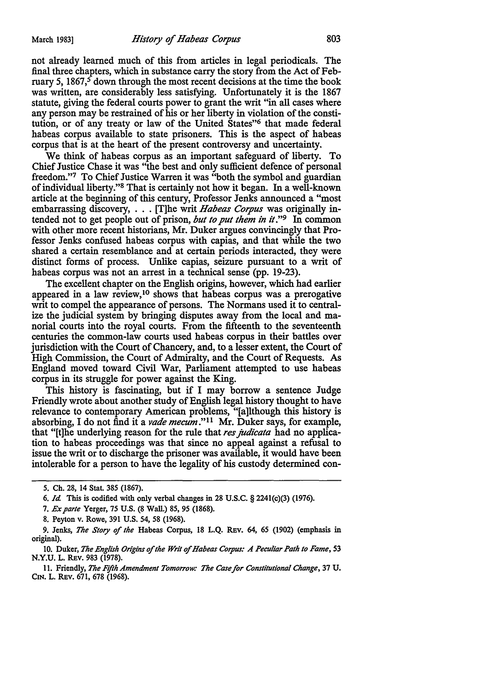not already learned much of this from articles in legal periodicals. The final three chapters, which in substance carry the story from the Act of February 5, 1867,<sup>5</sup> down through the most recent decisions at the time the book was written, are considerably less satisfying. Unfortunately it is the 1867 statute, giving the federal courts power to grant the writ "in all cases where any person may be restrained of his or her liberty in violation of the constitution, or of any treaty or law of the United States"6 that made federal habeas corpus available to state prisoners. This is the aspect of habeas corpus that is at the heart of the present controversy and uncertainty.

We think of habeas corpus as an important safeguard of liberty. To Chief Justice Chase it was "the best and only sufficient defence of personal freedom."<sup>7</sup>To Chief Justice Warren it was "both the symbol and guardian of individual liberty."8 That is certainly not how it began. In a well-known article at the beginning of this century, Professor Jenks announced a "most embarrassing discovery, ... [T]he writ *Habeas Corpus* was originally intended not to get people out of prison, *but to put them in it*."<sup>9</sup> In common with other more recent historians, Mr. Duker argues convincingly that Professor Jenks confused habeas corpus with capias, and that while the two shared a certain resemblance and at certain periods interacted, they were distinct forms of process. Unlike capias, seizure pursuant to a writ of habeas corpus was not an arrest in a technical sense (pp. 19-23).

The excellent chapter on the English origins, however, which had earlier appeared in a law review, 10 shows that habeas corpus was a prerogative writ to compel the appearance of persons. The Normans used it to centralize the judicial system by bringing disputes away from the local and manorial courts into the royal courts. From the fifteenth to the seventeenth centuries the common-law courts used habeas corpus in their battles over jurisdiction with the Court of Chancery, and, to a lesser extent, the Court of High Commission, the Court of Admiralty, and the Court of Requests. As England moved toward Civil War, Parliament attempted to use habeas corpus in its struggle for power against the King.

This history is fascinating, but if I may borrow a sentence Judge Friendly wrote about another study of English legal history thought to have relevance to contemporary American problems, "[a]lthough this history is absorbing, I do not find it a *vade mecum*."<sup>11</sup> Mr. Duker says, for example, that "[t]he underlying reason for the rule that *res judicata* had no application to habeas proceedings was that since no appeal against a refusal to issue the writ or to discharge the prisoner was available, it would have been intolerable for a person to have the legality of his custody determined con-

10. Duker, *The English Origins* of *the Writ* of *Habeas Corpus: A Peculiar Path lo Fame,* 53 N.Y.U. L. REv. 983 (1978).

11. Friendly, *The F{fih Amendment Tomollow: The Case far Constitutional Change,* 37 U. CIN. L. REv. 671, 678 (1968).

*<sup>5.</sup>* Ch. 28, 14 Stat. 385 (1867).

<sup>6.</sup> *Id.* This is codified with only verbal changes in 28 U.S.C. § 224l(c)(3) (1976).

*<sup>1.</sup> Ex parle* Yerger, 75 U.S. (8 Wall.) 85, *95* (1868).

<sup>8.</sup> Peyton v. Rowe, 391 U.S. 54, 58 (1968).

<sup>9.</sup> Jenks, *The Story* of *the* Habeas Corpus, 18 L.Q. REv. 64, 65 (1902) (emphasis in original).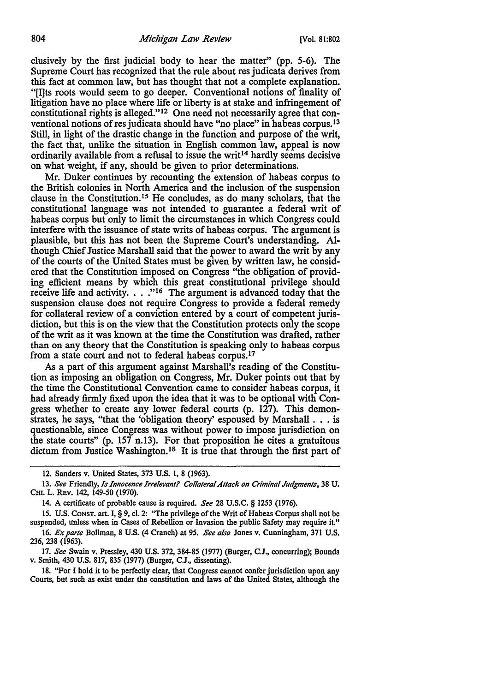elusively by the first judicial body to hear the matter" (pp. 5-6). The Supreme Court has recognized that the rule about res judicata derives from this fact at common law, but has thought that not a complete explanation. "[I]ts roots would seem to go deeper. Conventional notions of finality of litigation have no place where life or liberty is at stake and infringement of constitutional rights is alleged."<sup>12</sup> One need not necessarily agree that conventional notions of res judicata should have "no place" in habeas corpus. <sup>13</sup> Still, in light of the drastic change in the function and purpose of the writ, the fact that, unlike the situation in English common law, appeal is now ordinarily available from a refusal to issue the writ<sup>14</sup> hardly seems decisive on what weight, if any, should be given to prior determinations.

Mr. Duker continues by recounting the extension of habeas corpus to the British colonies in North America and the inclusion of the suspension clause in the Constitution. 15 He concludes, as do many scholars, that the constitutional language was not intended to guarantee a federal writ of habeas corpus but only to limit the circumstances in which Congress could interfere with the issuance of state writs of habeas corpus. The argument is plausible, but this has not been the Supreme Court's understanding. Although Chief Justice Marshall said that the power to award the writ by any of the courts of the United States must be given by written law, he considered that the Constitution imposed on Congress "the obligation of providing efficient means by which this great constitutional privilege should receive life and activity. . . . "<sup>16</sup> The argument is advanced today that the suspension clause does not require Congress to provide a federal remedy for collateral review of a conviction entered by a court of competent jurisdiction, but this is on the view that the Constitution protects only the scope of the writ as it was known at the time the Constitution was drafted, rather than on any theory that the Constitution is speaking only to habeas corpus from a state court and not to federal habeas corpus.17

As a part of this argument against Marshall's reading of the Constitution as imposing an obligation on Congress, Mr. Duker points out that by the time the Constitutional Convention came to consider habeas corpus, it had already firmly fixed upon the idea that it was to be optional with Congress whether to create any lower federal courts (p. 127). This demonstrates, he says, "that the 'obligation theory' espoused by Marshall . . . is questionable, since Congress was without power to impose jurisdiction on the state courts" (p. 157 n.13). For that proposition he cites a gratuitous dictum from Justice Washington.<sup>18</sup> It is true that through the first part of

18. "For I hold it to be perfectly clear, that Congress cannot confer jurisdiction upon any Courts, but such as exist under the constitution and laws of the United States, although the

<sup>12.</sup> Sanders v. United States, 373 U.S. 1, 8 (1963).

<sup>13.</sup> *See* Friendly, *Is Innocence Irrelevant? Co/lateral A/lack on Criminal Judgments,* 38 U. CHI. L. REV. 142, 149-50 (1970).

<sup>14.</sup> A certificate of probable cause is required. *See* 28 U.S.C. § 1253 (1976).

<sup>15.</sup> U.S. CONST. art. I,§ 9, cl. 2: "The privilege of the Writ of Habeas Corpus shall not be suspended, unless when in Cases of Rebellion or Invasion the public Safety may require it." 16. *Ex parte* Bollman, 8 U.S. (4 Cranch) at 95. *See also* Jones v. Cunningham, 371 U.S.

<sup>236, 238 (1963).</sup> 

*<sup>11.</sup> See* Swain v. Pressley, 430 U.S. 372, 384-85 (1977) (Burger, C.J., concurring); Bounds v. Smith, 430 U.S. 817, 835 (1977) (Burger, CJ., dissenting).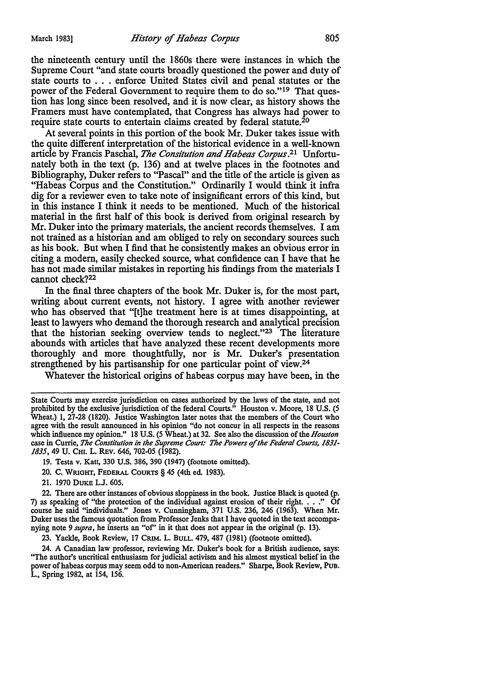the nineteenth century until the 1860s there were instances in which the Supreme Court "and state courts broadly questioned the power and duty of state courts to . . . enforce United States civil and penal statutes or the power of the Federal Government to require them to do so."<sup>19</sup> That question has long since been resolved, and it is now clear, as history shows the Framers must have contemplated, that Congress has always had power to require state courts to entertain claims created by federal statute.20

At several points in this portion of the book Mr. Duker takes issue with the quite different interpretation of the historical evidence in a well-known article by Francis Paschal, *The Consitution and Habeas Corpus.*21 Unfortunately both in the text (p. 136) and at twelve places in the footnotes and Bibliography, Duker refers to "Pascal" and the title of the article is given as "Habeas Corpus and the Constitution." Ordinarily I would think it infra dig for a reviewer even to take note of insignificant errors of this kind, but in this instance I think it needs to be mentioned. Much of the historical material in the first half of this book is derived from original research by Mr. Duker into the primary materials, the ancient records themselves. I am not trained as a historian and am obliged to rely on secondary sources such as his book. But when I find that he consistently makes an obvious error in citing a modem, easily checked source, what confidence can I have that he has not made similar mistakes in reporting his findings from the materials I cannot check?22

In the final three chapters of the book Mr. Duker is, for the most part, writing about current events, not history. I agree with another reviewer who has observed that "[t]he treatment here is at times disappointing, at least to lawyers who demand the thorough research and analytical precision that the historian seeking overview tends to neglect."<sup>23</sup> The literature abounds with articles that have analyzed these recent developments more thoroughly and more thoughtfully, nor is Mr. Duker's presentation strengthened by his partisanship for one particular point of view.<sup>24</sup>

Whatever the historical origins of habeas corpus may have been, in the

19. Testa v. Katt, 330 U.S. 386, 390 (1947) (footnote omitted).

20. C. WRIGHT, FEDERAL COURTS§ 45 (4th ed. 1983).

21. 1970 DUKE LJ. 605.

22. There are other instances of obvious sloppiness in the book. Justice Black is quoted (p. 7) as speaking of "the protection of the individual against erosion of their right. . . ." Of course he said "individuals." Jones v. Cunningham, 371 U.S. 236, 246 (1963). When Mr. Duker uses the famous quotation from Professor Jenks that I have quoted in the text accompanying note 9 *supra,* he inserts an "of' in it that does not appear in the original (p. 13).

23. Yackle, Book Review, 17 CRIM. L. BULL. 479, 487 (1981) (footnote omitted).

24. A Canadian law professor, reviewing Mr. Duker's book for a British audience, says: "The author's uncritical enthusiasm for judicial activism and his almost mystical belief in the power of habeas corpus may seem odd to non-American readers." Sharpe, Book Review, PuB. L., Spring 1982, at 154, 156.

State Courts may exercise jurisdiction on cases authorized by the laws of the state, and not prohibited by the exclusive jurisdiction of the federal Courts." Houston v. Moore, 18 U.S. (5 Wheat.) 1, 27-28 (1820). Justice Washington later notes that the members of the Court who agree with the result announced in his opinion "do not concur in all respects in the reasons which influence my opinion." 18 U.S. (5 Wheat.) at 32. See also the discussion of the *Houston*  case in Currie, *The Constitution in the Supreme Court: The Powers of the Federal Courts, 1831-1835,* 49 U. CHI. L. REv. 646, 702-05 (1982).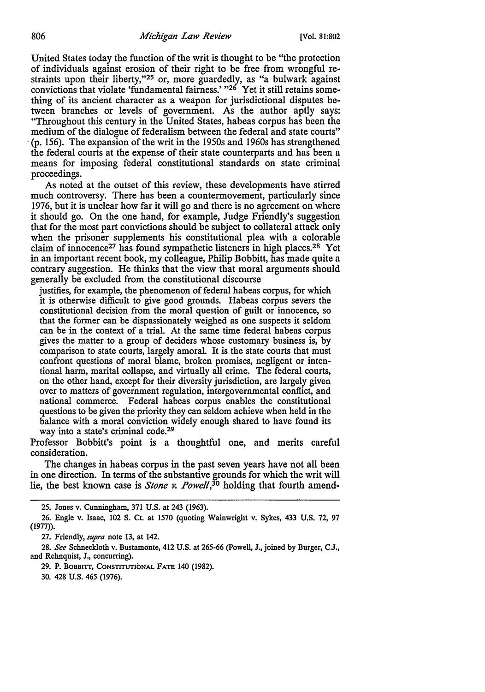United States today the function of the writ is thought to be "the protection of individuals against erosion of their right to be free from wrongful restraints upon their liberty,"25 or, more guardedly, as "a bulwark against convictions that violate 'fundamental fairness.' "26 Yet it still retains something of its ancient character as a weapon for jurisdictional disputes between branches or levels of government. As the author aptly says: "Throughout this century in the United States, habeas corpus has been the medium of the dialogue of federalism between the federal and state courts" '(p. 156). The expansion of the writ in the 1950s and 1960s has strengthened the federal courts at the expense of their state counterparts and has been a means for imposing federal constitutional standards on state criminal proceedings.

As noted at the outset of this review, these developments have stirred much controversy. There has been a countermovement, particularly since 1976, but it is unclear how far it will go and there is no agreement on where it should go. On the one hand, for example, Judge Friendly's suggestion that for the most part convictions should be subject to collateral attack only when the prisoner supplements his constitutional plea with a colorable claim of innocence<sup>27</sup> has found sympathetic listeners in high places.<sup>28</sup> Yet in an important recent book, my colleague, Philip Bobbitt, has made quite a contrary suggestion. He thinks that the view that moral arguments should generally be excluded from the constitutional discourse

justifies, for example, the phenomenon of federal habeas corpus, for which it is otherwise difficult to give good grounds. Habeas corpus severs the constitutional decision from the moral question of guilt or innocence, so that the former can be dispassionately weighed as one suspects it seldom can be in the context of a trial. At the same time federal habeas corpus gives the matter to a group of deciders whose customary business is, by comparison to state courts, largely amoral. It is the state courts that must confront questions of moral blame, broken promises, negligent or intentional harm, marital collapse, and virtually all crime. The federal courts, on the other hand, except for their diversity jurisdiction, are largely given over to matters of government regulation, intergovernmental conflict, and national commerce. Federal habeas corpus enables the constitutional questions to be given the priority they can seldom achieve when held in the balance with a moral conviction widely enough shared to have found its way into a state's criminal code.<sup>29</sup>

Professor Bobbitt's point is a thoughtful one, and merits careful consideration.

The changes in habeas corpus in the past seven years have not all been in one direction. In terms of the substantive grounds for which the writ will lie, the best known case is *Stone v. Powel!,30* holding that fourth amend-

27. Friendly, *supra* note 13, at 142.

28. *See* Schneckloth v. Bustamonte, 412 U.S. at 265-66 (Powell, J.,joined by Burger, C.J., and Rehnquist, J., concurring).

29. P. BOBBIIT, CONSTITUTIONAL FATE 140 (1982).

30. 428 U.S. 465 (1976).

<sup>25.</sup> Jones v. Cunningham, 371 U.S. at 243 (1963).

<sup>26.</sup> Engle v. Isaac, 102 S. Ct. at 1570 (quoting Wainwright v. Sykes, 433 U.S. 72, 97 (1977)).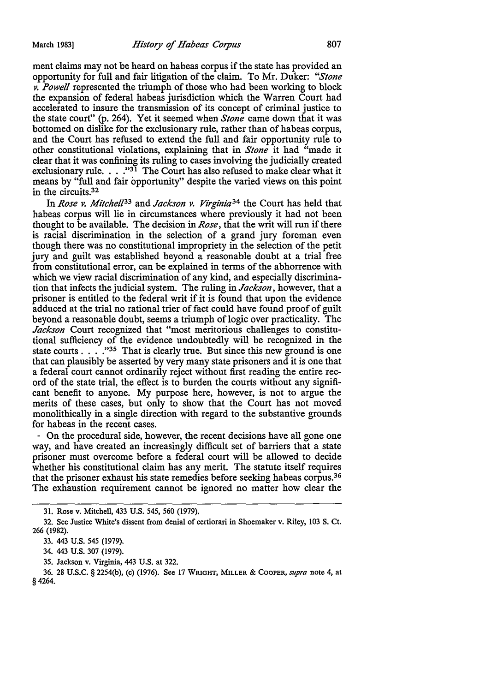ment claims may not be heard on habeas corpus if the state has provided an opportunity for full and fair litigation of the claim. To Mr. Duker: *"Stone v. Powell* represented the triumph of those who had been working to block the expansion of federal habeas jurisdiction which the Warren Court had accelerated to insure the transmission of its concept of criminal justice to the state court" (p. 264). Yet it seemed when *Stone* came down that it was bottomed on dislike for the exclusionary rule, rather than of habeas corpus, and the Court has refused to extend the full and fair opportunity rule to other constitutional violations, explaining that in *Stone* it had "made it clear that it was confining its ruling to cases involving the judicially created exclusionary rule.  $\ldots$ ."<sup>31</sup> The Court has also refused to make clear what it means by "full and fair opportunity" despite the varied views on this point in the circuits.32

In *Rose v. Mitchel/33* and *Jackson v. Virginia34* the Court has held that habeas corpus will lie in circumstances where previously it had not been thought to be available. The decision in *Rose,* that the writ will run if there is racial discrimination in the selection of a grand jury foreman even though there was no constitutional impropriety in the selection of the petit jury and guilt was established beyond a reasonable doubt at a trial free from constitutional error, can be explained in terms of the abhorrence with which we view racial discrimination of any kind, and especially discrimination that infects the judicial system. The ruling in *Jackson,* however, that a prisoner is entitled to the federal writ if it is found that upon the evidence adduced at the trial no rational trier of fact could have found proof of guilt beyond a reasonable doubt, seems a triumph of logic over practicality. The *Jackson* Court recognized that "most meritorious challenges to constitutional sufficiency of the evidence undoubtedly will be recognized in the state courts . . . ."35 That is clearly true. But since this new ground is one that can plausibly be asserted by very many state prisoners and it is one that a federal court cannot ordinarily reject without first reading the entire record of the state trial, the effect is to burden the courts without any significant benefit to anyone. My purpose here, however, is not to argue the merits of these cases, but only to show that the Court has not moved monolithically in a single direction with regard to the substantive grounds for habeas in the recent cases.

- On the procedural side, however, the recent decisions have all gone one way, and have created an increasingly difficult set of barriers that a state prisoner must overcome before a federal court will be allowed to decide whether his constitutional claim has any merit. The statute itself requires that the prisoner exhaust his state remedies before seeking habeas corpus.36 The exhaustion requirement cannot be ignored no matter how clear the

35. Jackson v. Virginia, 443 U.S. at 322.

<sup>31.</sup> Rose v. Mitchell, 433 U.S. 545, 560 (1979).

<sup>32.</sup> See Justice White's dissent from denial of certiorari in Shoemaker v. Riley, 103 S. Ct. 266 (1982).

<sup>33. 443</sup> U.S. 545 (1979).

<sup>34. 443</sup> U.S. 307 (1979).

<sup>36. 28</sup> u.s.c. § 2254(b), (c) (1976). See 17 WRIGHT, MlLLER & COOPER, *supra* note 4, at §4264.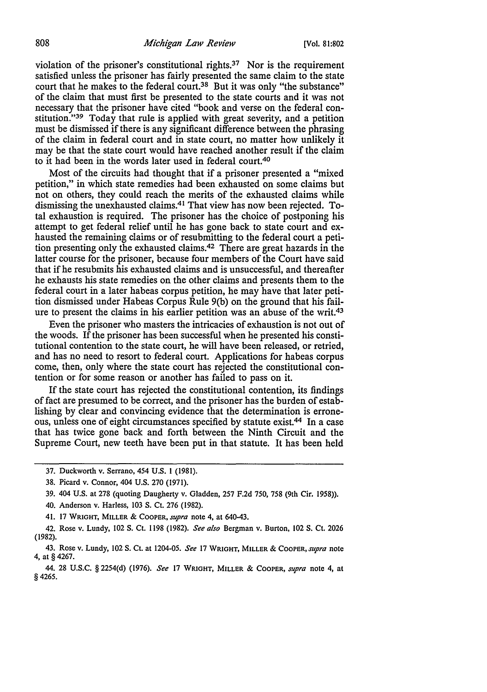violation of the prisoner's constitutional rights.37 Nor is the requirement satisfied unless the prisoner has fairly presented the same claim to the state court that he makes to the federal court.<sup>38</sup> But it was only "the substance" of the claim that must first be presented to the state courts and it was not necessary that the prisoner have cited "book and verse on the federal constitution."39 Today that rule is applied with great severity, and a petition must be dismissed if there is any significant difference between the phrasing of the claim in federal court and in state court, no matter how unlikely it may be that the state court would have reached another result if the claim to it had been in the words later used in federal court.40

Most of the circuits had thought that if a prisoner presented a "mixed petition," in which state remedies had been exhausted on some claims but not on others, they could reach the merits of the exhausted claims while dismissing the unexhausted claims.41 That view has now been rejected. Total exhaustion is required. The prisoner has the choice of postponing his attempt to get federal relief until he has gone back to state court and exhausted the remaining claims or of resubmitting to the federal court a petition presenting only the exhausted claims.42 There are great hazards in the latter course for the prisoner, because four members of the Court have said that ifhe resubmits his exhausted claims and is unsuccessful, and thereafter he exhausts his state remedies on the other claims and presents them to the federal court in a later habeas corpus petition, he may have that later petition dismissed under Habeas Corpus Rule 9(b) on the ground that his failure to present the claims in his earlier petition was an abuse of the writ.43

Even the prisoner who masters the intricacies of exhaustion is not out of the woods. If the prisoner has been successful when he presented his constitutional contention to the state court, he will have been released, or retried, and has no need to resort to federal court. Applications for habeas corpus come, then, only where the state court has rejected the constitutional contention or for some reason or another has failed to pass on it.

If the state court has rejected the constitutional contention, its findings of fact are presumed to be correct, and the prisoner has the burden of establishing by clear and convincing evidence that the determination is erroneous, unless one of eight circumstances specified by statute exist.44 In a case that has twice gone back and forth between the Ninth Circuit and the Supreme Court, new teeth have been put in that statute. It has been held

<sup>37.</sup> Duckworth v. Serrano, 454 U.S. I (1981).

<sup>38.</sup> Picard v. Connor, 404 U.S. 270 (1971).

<sup>39. 404</sup> U.S. at 278 (quoting Daugherty v. Gladden, 257 F.2d 750, 758 (9th Cir. 1958)),

<sup>40.</sup> Anderson v. Harless, 103 S. Ct. 276 (1982).

<sup>41. 17</sup> WRIGHT, MILLER & COOPER, *supra* note 4, at 640-43.

<sup>42.</sup> Rose v. Lundy, 102 S. Ct. 1198 (1982). *See also* Bergman v. Burton, 102 S. Ct. 2026 (1982).

<sup>43.</sup> Rose v. Lundy, 102 s. Ct. at 1204-05. *See* 17 WRIGHT, MILLER & COOPER, *supra* note 4, at §4267.

<sup>44. 28</sup> u.s.c. § 2254(d) (1976). *See* 17 WRIGHT, MILLER & COOPER, *supra* note 4, at § 4265.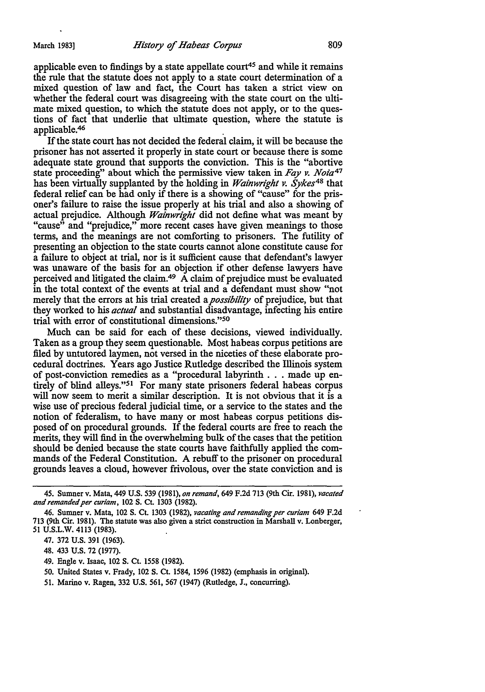applicable even to findings by a state appellate  $\text{count}^{45}$  and while it remains the rule that the statute does not apply to a state court determination of a mixed question of law and fact, the Court has taken a strict view on whether the federal court was disagreeing with the state court on the ultimate mixed question, to which the statute does not apply, or to the questions of fact that underlie that ultimate question, where the statute is applicable.<sup>46</sup>

If the state court has not decided the federal claim, it will be because the prisoner has not asserted it properly in state court or because there is some adequate state ground that supports the conviction. This is the "abortive state proceeding" about which the permissive view taken in *Fay v. Noia41*  has been virtually supplanted by the holding in *Wainwright v. Sykes48* that federal relief can be had only if there is a showing of "cause" for the prisoner's failure to raise the issue properly at his trial and also a showing of actual prejudice. Although *Wainwright* did not define what was meant by "cause" and "prejudice," more recent cases have given meanings to those terms, and the meanings are not comforting to prisoners. The futility of presenting an objection to the state courts cannot alone constitute cause for a failure to object at trial, nor is it sufficient cause that defendant's lawyer was unaware of the basis for an objection if other defense lawyers have perceived and litigated the claim.49 A claim of prejudice must be evaluated in the total context of the events at trial and a defendant must show "not merely that the errors at his trial created a *possibility* of prejudice, but that they worked to his *actual* and substantial disadvantage, infecting his entire trial with error of constitutional dimensions."50

Much can be said for each of these decisions, viewed individually. Taken as a group they seem questionable. Most habeas corpus petitions are filed by untutored laymen, not versed in the niceties of these elaborate procedural doctrines. Years ago Justice Rutledge described the Illinois system of post-conviction remedies as a "procedural labyrinth . . . made up entirely of blind alleys."51 For many state prisoners federal habeas corpus will now seem to merit a similar description. It is not obvious that it is a wise use of precious federal judicial time, or a service to the states and the notion of federalism, to have many or most habeas corpus petitions disposed of on procedural grounds. If the federal courts are free to reach the merits, they will find in the overwhelming bulk of the cases that the petition should be denied because the state courts have faithfully applied the commands of the Federal Constitution. A rebuff to the prisoner on procedural grounds leaves a cloud, however frivolous, over the state conviction and is

- 49. Engle v. Isaac, 102 S. Ct. 1558 (1982).
- 50. United States v. Frady, 102 S. Ct. 1584, 1596 (1982) (emphasis in original).
- 51. Marino v. Ragen, 332 U.S. 561, 567 (1947) (Rutledge, J., concurring).

<sup>45.</sup> Sumner v. Mata, 449 U.S. 539 (1981), *on remand,* 649 F.2d 713 (9th Cir. 1981), *vacated and remanded per curiam,* 102 S. Ct. 1303 (1982).

<sup>46.</sup> Sumner v. Mata, 102 S. Ct. 1303 (1982), *vacating and remanding per curiam* 649 F.2d 713 (9th Cir. 1981). The statute was also given a strict construction in Marshall v. Lonberger, 51 U.S.L.W. 4113 (1983).

<sup>47. 372</sup> U.S. 391 (1963).

<sup>48. 433</sup> U.S. 72 (1977).